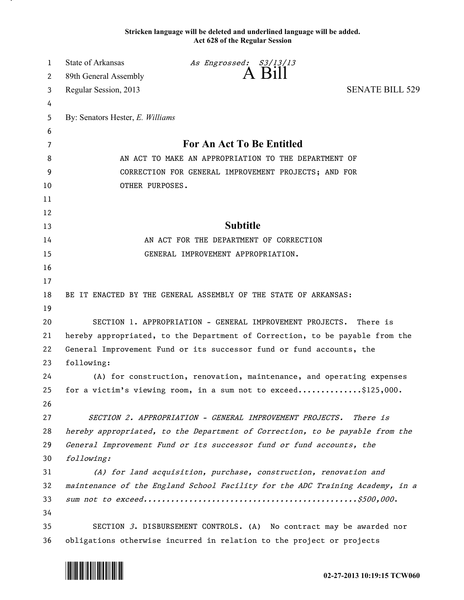## **Stricken language will be deleted and underlined language will be added. Act 628 of the Regular Session**

| $\mathbf{1}$ | <b>State of Arkansas</b>                                                      | As Engrossed: S3/13/13                                                       |                        |
|--------------|-------------------------------------------------------------------------------|------------------------------------------------------------------------------|------------------------|
| 2            | 89th General Assembly                                                         | A Bill                                                                       |                        |
| 3            | Regular Session, 2013                                                         |                                                                              | <b>SENATE BILL 529</b> |
| 4            |                                                                               |                                                                              |                        |
| 5            | By: Senators Hester, E. Williams                                              |                                                                              |                        |
| 6            |                                                                               |                                                                              |                        |
| 7            | For An Act To Be Entitled                                                     |                                                                              |                        |
| 8            | AN ACT TO MAKE AN APPROPRIATION TO THE DEPARTMENT OF                          |                                                                              |                        |
| 9            | CORRECTION FOR GENERAL IMPROVEMENT PROJECTS; AND FOR                          |                                                                              |                        |
| 10           | OTHER PURPOSES.                                                               |                                                                              |                        |
| 11           |                                                                               |                                                                              |                        |
| 12           |                                                                               |                                                                              |                        |
| 13           |                                                                               | <b>Subtitle</b>                                                              |                        |
| 14           |                                                                               | AN ACT FOR THE DEPARTMENT OF CORRECTION                                      |                        |
| 15           |                                                                               | GENERAL IMPROVEMENT APPROPRIATION.                                           |                        |
| 16           |                                                                               |                                                                              |                        |
| 17           |                                                                               |                                                                              |                        |
| 18           |                                                                               | BE IT ENACTED BY THE GENERAL ASSEMBLY OF THE STATE OF ARKANSAS:              |                        |
| 19           |                                                                               |                                                                              |                        |
| 20           | SECTION 1. APPROPRIATION - GENERAL IMPROVEMENT PROJECTS.<br>There is          |                                                                              |                        |
| 21           | hereby appropriated, to the Department of Correction, to be payable from the  |                                                                              |                        |
| 22           | General Improvement Fund or its successor fund or fund accounts, the          |                                                                              |                        |
| 23           | following:                                                                    |                                                                              |                        |
| 24           |                                                                               | (A) for construction, renovation, maintenance, and operating expenses        |                        |
| 25           |                                                                               | for a victim's viewing room, in a sum not to exceed\$125,000.                |                        |
| 26           |                                                                               |                                                                              |                        |
| 27           |                                                                               | SECTION 2. APPROPRIATION - GENERAL IMPROVEMENT PROJECTS.                     | <i>There is</i>        |
| 28           |                                                                               | hereby appropriated, to the Department of Correction, to be payable from the |                        |
| 29           |                                                                               | General Improvement Fund or its successor fund or fund accounts, the         |                        |
| 30           | following:                                                                    |                                                                              |                        |
| 31           |                                                                               | (A) for land acquisition, purchase, construction, renovation and             |                        |
| 32           | maintenance of the England School Facility for the ADC Training Academy, in a |                                                                              |                        |
| 33           |                                                                               |                                                                              |                        |
| 34           |                                                                               |                                                                              |                        |
| 35           |                                                                               | SECTION 3. DISBURSEMENT CONTROLS. (A) No contract may be awarded nor         |                        |
| 36           |                                                                               | obligations otherwise incurred in relation to the project or projects        |                        |



.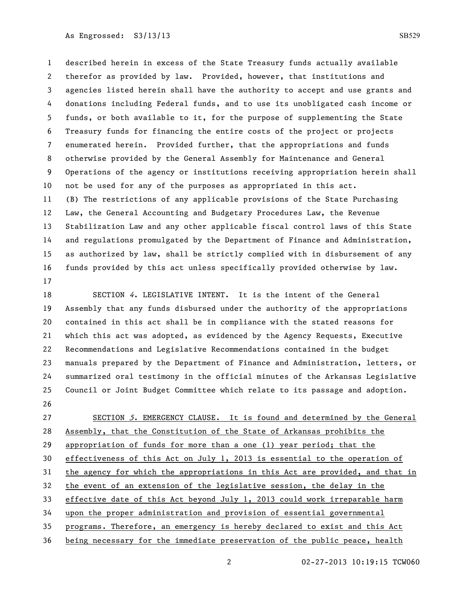## As Engrossed: S3/13/13 SB529

 described herein in excess of the State Treasury funds actually available therefor as provided by law. Provided, however, that institutions and agencies listed herein shall have the authority to accept and use grants and donations including Federal funds, and to use its unobligated cash income or funds, or both available to it, for the purpose of supplementing the State Treasury funds for financing the entire costs of the project or projects enumerated herein. Provided further, that the appropriations and funds otherwise provided by the General Assembly for Maintenance and General Operations of the agency or institutions receiving appropriation herein shall not be used for any of the purposes as appropriated in this act. (B) The restrictions of any applicable provisions of the State Purchasing Law, the General Accounting and Budgetary Procedures Law, the Revenue Stabilization Law and any other applicable fiscal control laws of this State and regulations promulgated by the Department of Finance and Administration, as authorized by law, shall be strictly complied with in disbursement of any funds provided by this act unless specifically provided otherwise by law. 

 SECTION 4. LEGISLATIVE INTENT. It is the intent of the General Assembly that any funds disbursed under the authority of the appropriations contained in this act shall be in compliance with the stated reasons for which this act was adopted, as evidenced by the Agency Requests, Executive Recommendations and Legislative Recommendations contained in the budget manuals prepared by the Department of Finance and Administration, letters, or summarized oral testimony in the official minutes of the Arkansas Legislative Council or Joint Budget Committee which relate to its passage and adoption. 

27 SECTION 5. EMERGENCY CLAUSE. It is found and determined by the General Assembly, that the Constitution of the State of Arkansas prohibits the appropriation of funds for more than a one (1) year period; that the effectiveness of this Act on July 1, 2013 is essential to the operation of the agency for which the appropriations in this Act are provided, and that in the event of an extension of the legislative session, the delay in the effective date of this Act beyond July 1, 2013 could work irreparable harm upon the proper administration and provision of essential governmental programs. Therefore, an emergency is hereby declared to exist and this Act being necessary for the immediate preservation of the public peace, health

02-27-2013 10:19:15 TCW060